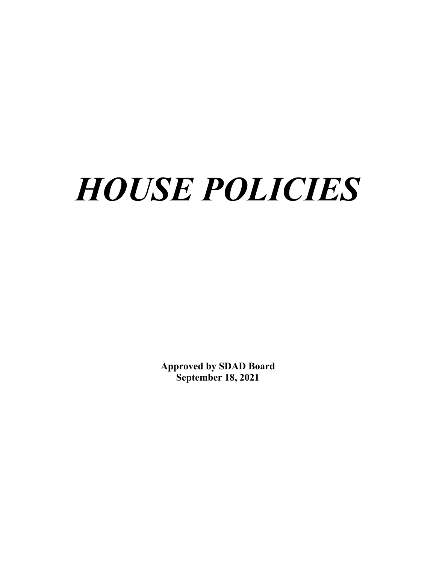# *HOUSE POLICIES*

**Approved by SDAD Board September 18, 2021**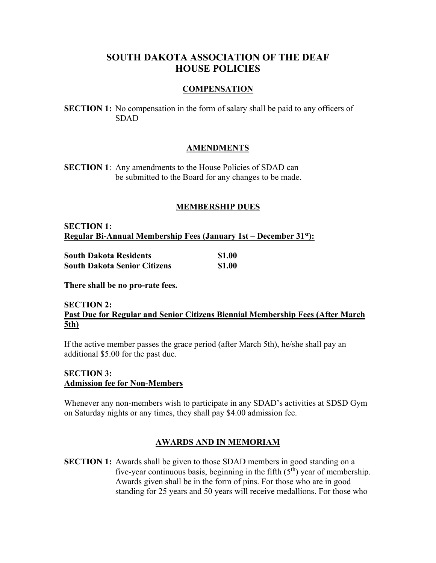# **SOUTH DAKOTA ASSOCIATION OF THE DEAF HOUSE POLICIES**

#### **COMPENSATION**

**SECTION 1:** No compensation in the form of salary shall be paid to any officers of SDAD

#### **AMENDMENTS**

**SECTION 1**: Any amendments to the House Policies of SDAD can be submitted to the Board for any changes to be made.

#### **MEMBERSHIP DUES**

**SECTION 1: Regular Bi-Annual Membership Fees (January 1st – December 31<sup>st</sup>):** 

|  | South Dakota Residents              | \$1.00 |
|--|-------------------------------------|--------|
|  | <b>South Dakota Senior Citizens</b> | \$1.00 |

**There shall be no pro-rate fees.** 

### **SECTION 2: Past Due for Regular and Senior Citizens Biennial Membership Fees (After March 5th)**

If the active member passes the grace period (after March 5th), he/she shall pay an additional \$5.00 for the past due.

# **SECTION 3: Admission fee for Non-Members**

Whenever any non-members wish to participate in any SDAD's activities at SDSD Gym on Saturday nights or any times, they shall pay \$4.00 admission fee.

#### **AWARDS AND IN MEMORIAM**

**SECTION 1:** Awards shall be given to those SDAD members in good standing on a five-year continuous basis, beginning in the fifth  $(5<sup>th</sup>)$  year of membership. Awards given shall be in the form of pins. For those who are in good standing for 25 years and 50 years will receive medallions. For those who